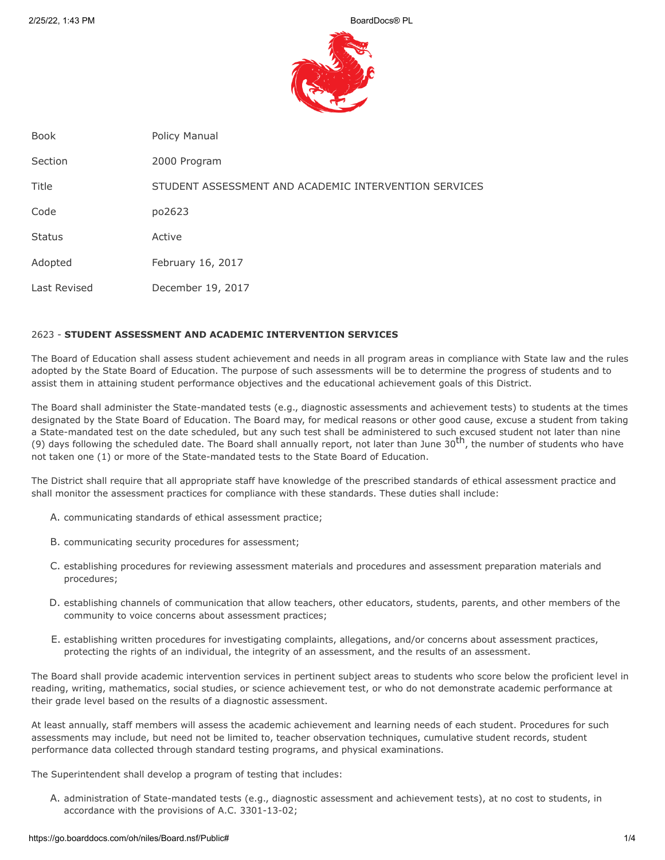

| <b>Book</b>   | Policy Manual                                         |
|---------------|-------------------------------------------------------|
| Section       | 2000 Program                                          |
| Title         | STUDENT ASSESSMENT AND ACADEMIC INTERVENTION SERVICES |
| Code          | po2623                                                |
| <b>Status</b> | Active                                                |
| Adopted       | February 16, 2017                                     |
| Last Revised  | December 19, 2017                                     |

## 2623 - **STUDENT ASSESSMENT AND ACADEMIC INTERVENTION SERVICES**

The Board of Education shall assess student achievement and needs in all program areas in compliance with State law and the rules adopted by the State Board of Education. The purpose of such assessments will be to determine the progress of students and to assist them in attaining student performance objectives and the educational achievement goals of this District.

The Board shall administer the State-mandated tests (e.g., diagnostic assessments and achievement tests) to students at the times designated by the State Board of Education. The Board may, for medical reasons or other good cause, excuse a student from taking a State-mandated test on the date scheduled, but any such test shall be administered to such excused student not later than nine (9) days following the scheduled date. The Board shall annually report, not later than June 30<sup>th</sup>, the number of students who have not taken one (1) or more of the State-mandated tests to the State Board of Education.

The District shall require that all appropriate staff have knowledge of the prescribed standards of ethical assessment practice and shall monitor the assessment practices for compliance with these standards. These duties shall include:

- A. communicating standards of ethical assessment practice;
- B. communicating security procedures for assessment;
- C. establishing procedures for reviewing assessment materials and procedures and assessment preparation materials and procedures;
- D. establishing channels of communication that allow teachers, other educators, students, parents, and other members of the community to voice concerns about assessment practices;
- E. establishing written procedures for investigating complaints, allegations, and/or concerns about assessment practices, protecting the rights of an individual, the integrity of an assessment, and the results of an assessment.

The Board shall provide academic intervention services in pertinent subject areas to students who score below the proficient level in reading, writing, mathematics, social studies, or science achievement test, or who do not demonstrate academic performance at their grade level based on the results of a diagnostic assessment.

At least annually, staff members will assess the academic achievement and learning needs of each student. Procedures for such assessments may include, but need not be limited to, teacher observation techniques, cumulative student records, student performance data collected through standard testing programs, and physical examinations.

The Superintendent shall develop a program of testing that includes:

A. administration of State-mandated tests (e.g., diagnostic assessment and achievement tests), at no cost to students, in accordance with the provisions of A.C. 3301-13-02;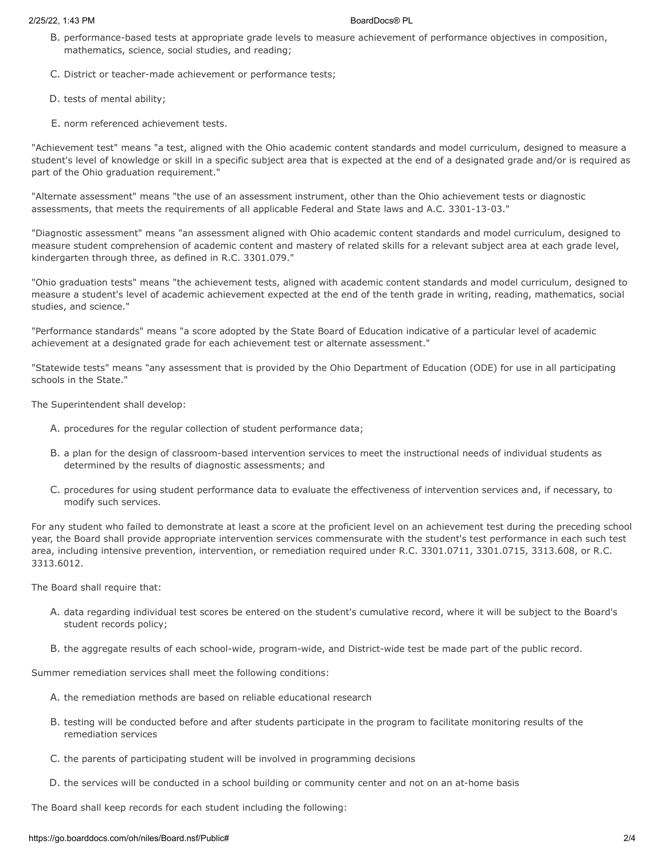- B. performance-based tests at appropriate grade levels to measure achievement of performance objectives in composition, mathematics, science, social studies, and reading;
- C. District or teacher-made achievement or performance tests;
- D. tests of mental ability;
- E. norm referenced achievement tests.

"Achievement test" means "a test, aligned with the Ohio academic content standards and model curriculum, designed to measure a student's level of knowledge or skill in a specific subject area that is expected at the end of a designated grade and/or is required as part of the Ohio graduation requirement."

"Alternate assessment" means "the use of an assessment instrument, other than the Ohio achievement tests or diagnostic assessments, that meets the requirements of all applicable Federal and State laws and A.C. 3301-13-03."

"Diagnostic assessment" means "an assessment aligned with Ohio academic content standards and model curriculum, designed to measure student comprehension of academic content and mastery of related skills for a relevant subject area at each grade level, kindergarten through three, as defined in R.C. 3301.079."

"Ohio graduation tests" means "the achievement tests, aligned with academic content standards and model curriculum, designed to measure a student's level of academic achievement expected at the end of the tenth grade in writing, reading, mathematics, social studies, and science."

"Performance standards" means "a score adopted by the State Board of Education indicative of a particular level of academic achievement at a designated grade for each achievement test or alternate assessment."

"Statewide tests" means "any assessment that is provided by the Ohio Department of Education (ODE) for use in all participating schools in the State."

The Superintendent shall develop:

- A. procedures for the regular collection of student performance data;
- B. a plan for the design of classroom-based intervention services to meet the instructional needs of individual students as determined by the results of diagnostic assessments; and
- C. procedures for using student performance data to evaluate the effectiveness of intervention services and, if necessary, to modify such services.

For any student who failed to demonstrate at least a score at the proficient level on an achievement test during the preceding school year, the Board shall provide appropriate intervention services commensurate with the student's test performance in each such test area, including intensive prevention, intervention, or remediation required under R.C. 3301.0711, 3301.0715, 3313.608, or R.C. 3313.6012.

The Board shall require that:

- A. data regarding individual test scores be entered on the student's cumulative record, where it will be subject to the Board's student records policy;
- B. the aggregate results of each school-wide, program-wide, and District-wide test be made part of the public record.

Summer remediation services shall meet the following conditions:

- A. the remediation methods are based on reliable educational research
- B. testing will be conducted before and after students participate in the program to facilitate monitoring results of the remediation services
- C. the parents of participating student will be involved in programming decisions
- D. the services will be conducted in a school building or community center and not on an at-home basis

The Board shall keep records for each student including the following: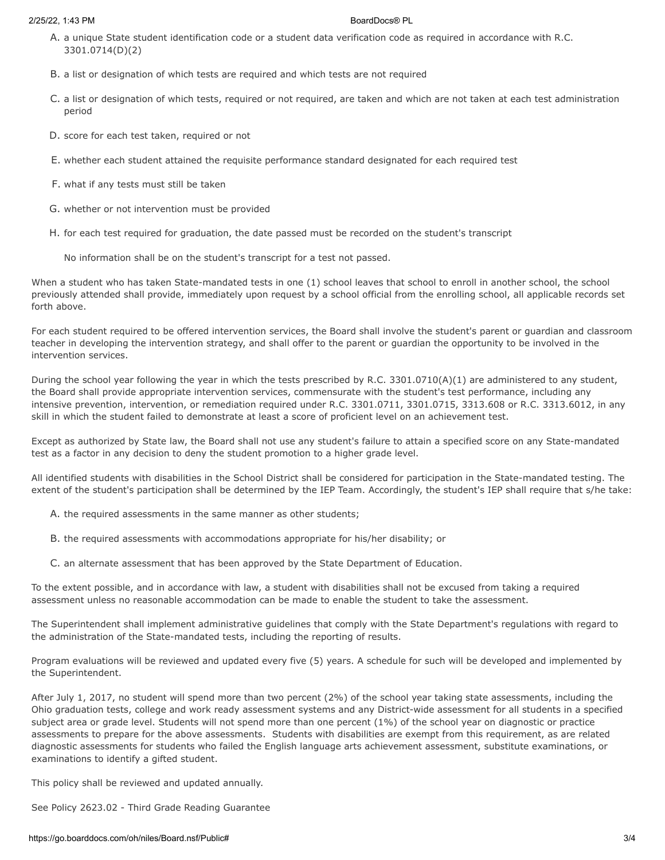- A. a unique State student identification code or a student data verification code as required in accordance with R.C. 3301.0714(D)(2)
- B. a list or designation of which tests are required and which tests are not required
- C. a list or designation of which tests, required or not required, are taken and which are not taken at each test administration period
- D. score for each test taken, required or not
- E. whether each student attained the requisite performance standard designated for each required test
- F. what if any tests must still be taken
- G. whether or not intervention must be provided
- H. for each test required for graduation, the date passed must be recorded on the student's transcript
	- No information shall be on the student's transcript for a test not passed.

When a student who has taken State-mandated tests in one (1) school leaves that school to enroll in another school, the school previously attended shall provide, immediately upon request by a school official from the enrolling school, all applicable records set forth above.

For each student required to be offered intervention services, the Board shall involve the student's parent or guardian and classroom teacher in developing the intervention strategy, and shall offer to the parent or guardian the opportunity to be involved in the intervention services.

During the school year following the year in which the tests prescribed by R.C. 3301.0710(A)(1) are administered to any student, the Board shall provide appropriate intervention services, commensurate with the student's test performance, including any intensive prevention, intervention, or remediation required under R.C. 3301.0711, 3301.0715, 3313.608 or R.C. 3313.6012, in any skill in which the student failed to demonstrate at least a score of proficient level on an achievement test.

Except as authorized by State law, the Board shall not use any student's failure to attain a specified score on any State-mandated test as a factor in any decision to deny the student promotion to a higher grade level.

All identified students with disabilities in the School District shall be considered for participation in the State-mandated testing. The extent of the student's participation shall be determined by the IEP Team. Accordingly, the student's IEP shall require that s/he take:

- A. the required assessments in the same manner as other students;
- B. the required assessments with accommodations appropriate for his/her disability; or
- C. an alternate assessment that has been approved by the State Department of Education.

To the extent possible, and in accordance with law, a student with disabilities shall not be excused from taking a required assessment unless no reasonable accommodation can be made to enable the student to take the assessment.

The Superintendent shall implement administrative guidelines that comply with the State Department's regulations with regard to the administration of the State-mandated tests, including the reporting of results.

Program evaluations will be reviewed and updated every five (5) years. A schedule for such will be developed and implemented by the Superintendent.

After July 1, 2017, no student will spend more than two percent (2%) of the school year taking state assessments, including the Ohio graduation tests, college and work ready assessment systems and any District-wide assessment for all students in a specified subject area or grade level. Students will not spend more than one percent (1%) of the school year on diagnostic or practice assessments to prepare for the above assessments. Students with disabilities are exempt from this requirement, as are related diagnostic assessments for students who failed the English language arts achievement assessment, substitute examinations, or examinations to identify a gifted student.

This policy shall be reviewed and updated annually.

See Policy 2623.02 - Third Grade Reading Guarantee